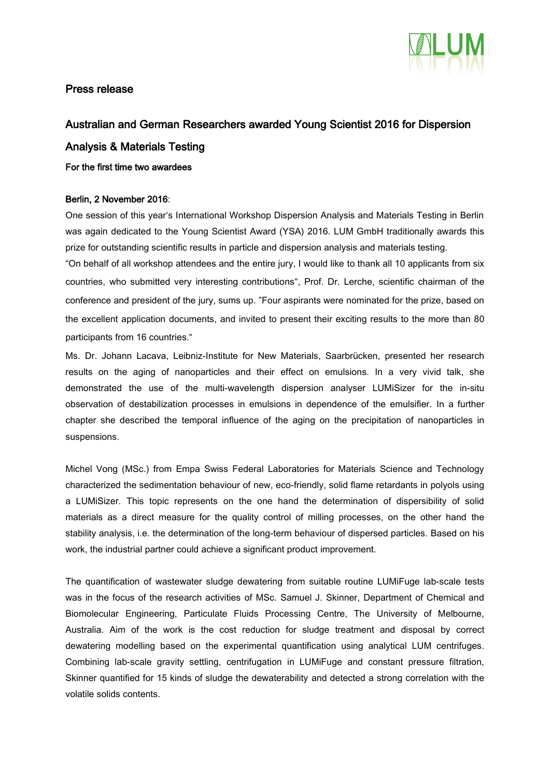

## Press release

## Australian and German Researchers awarded Young Scientist 2016 for Dispersion

## Analysis & Materials Testing

For the first time two awardees

## Berlin, 2 November 2016:

One session of this year's International Workshop Dispersion Analysis and Materials Testing in Berlin was again dedicated to the Young Scientist Award (YSA) 2016. LUM GmbH traditionally awards this prize for outstanding scientific results in particle and dispersion analysis and materials testing.

"On behalf of all workshop attendees and the entire jury, I would like to thank all 10 applicants from six countries, who submitted very interesting contributions", Prof. Dr. Lerche, scientific chairman of the conference and president of the jury, sums up. "Four aspirants were nominated for the prize, based on the excellent application documents, and invited to present their exciting results to the more than 80 participants from 16 countries."

Ms. Dr. Johann Lacava, Leibniz-Institute for New Materials, Saarbrücken, presented her research results on the aging of nanoparticles and their effect on emulsions. In a very vivid talk, she demonstrated the use of the multi-wavelength dispersion analyser LUMiSizer for the in-situ observation of destabilization processes in emulsions in dependence of the emulsifier. In a further chapter she described the temporal influence of the aging on the precipitation of nanoparticles in suspensions.

Michel Vong (MSc.) from Empa Swiss Federal Laboratories for Materials Science and Technology characterized the sedimentation behaviour of new, eco-friendly, solid flame retardants in polyols using a LUMiSizer. This topic represents on the one hand the determination of dispersibility of solid materials as a direct measure for the quality control of milling processes, on the other hand the stability analysis, i.e. the determination of the long-term behaviour of dispersed particles. Based on his work, the industrial partner could achieve a significant product improvement.

The quantification of wastewater sludge dewatering from suitable routine LUMiFuge lab-scale tests was in the focus of the research activities of MSc. Samuel J. Skinner, Department of Chemical and Biomolecular Engineering, Particulate Fluids Processing Centre, The University of Melbourne, Australia. Aim of the work is the cost reduction for sludge treatment and disposal by correct dewatering modelling based on the experimental quantification using analytical LUM centrifuges. Combining lab-scale gravity settling, centrifugation in LUMiFuge and constant pressure filtration, Skinner quantified for 15 kinds of sludge the dewaterability and detected a strong correlation with the volatile solids contents.